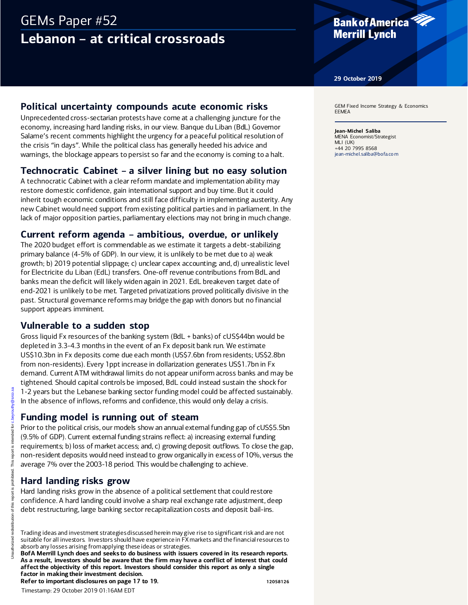# GEMs Paper #52 **Lebanon – at critical crossroads**

## **Bank of America Merrill Lynch**

**29 October 2019**

## **Political uncertainty compounds acute economic risks**

Unprecedented cross-sectarian protests have come at a challenging juncture for the economy, increasing hard landing risks, in our view. Banque du Liban (BdL) Governor Salame's recent comments highlight the urgency for a peaceful political resolution of the crisis "in days". While the political class has generally heeded his advice and warnings, the blockage appears to persist so far and the economy is coming to a halt.

## **Technocratic Cabinet – a silver lining but no easy solution**

A technocratic Cabinet with a clear reform mandate and implementation ability may restore domestic confidence, gain international support and buy time. But it could inherit tough economic conditions and still face difficulty in implementing austerity. Any new Cabinet would need support from existing political parties and in parliament. In the lack of major opposition parties, parliamentary elections may not bring in much change.

## **Current reform agenda – ambitious, overdue, or unlikely**

The 2020 budget effort is commendable as we estimate it targets a debt-stabilizing primary balance (4-5% of GDP). In our view, it is unlikely to be met due to a) weak growth; b) 2019 potential slippage; c) unclear capex accounting; and, d) unrealistic level for Electricite du Liban (EdL) transfers. One-off revenue contributions from BdL and banks mean the deficit will likely widen again in 2021. EdL breakeven target date of end-2021 is unlikely to be met. Targeted privatizations proved politically divisive in the past. Structural governance reforms may bridge the gap with donors but no financial support appears imminent.

## **Vulnerable to a sudden stop**

Gross liquid Fx resources of the banking system (BdL + banks) of cUS\$44bn would be depleted in 3.3-4.3 months in the event of an Fx deposit bank run. We estimate US\$10.3bn in Fx deposits come due each month (US\$7.6bn from residents; US\$2.8bn from non-residents). Every 1ppt increase in dollarization generates US\$1.7bn in Fx demand. Current ATM withdrawal limits do not appear uniform across banks and may be tightened. Should capital controls be imposed, BdL could instead sustain the shock for 1-2 years but the Lebanese banking sector funding model could be affected sustainably. In the absence of inflows, reforms and confidence, this would only delay a crisis.

### **Funding model is running out of steam**

Prior to the political crisis, our models show an annual external funding gap of cUS\$5.5bn (9.5% of GDP). Current external funding strains reflect: a) increasing external funding requirements; b) loss of market access; and, c) growing deposit outflows. To close the gap, non-resident deposits would need instead to grow organically in excess of 10%, versus the average 7% over the 2003-18 period. This would be challenging to achieve. 1-2 years but the Lebanese banking<br>
In the absence of inflows, reforms are<br>
Funding model is running<br>
Prior to the political crisis, our models<br>
(9.5% of GDP). Current external fundin<br>
requirements; b) loss of market acces

## **Hard landing risks grow**

Hard landing risks grow in the absence of a political settlement that could restore confidence. A hard landing could involve a sharp real exchange rate adjustment, deep debt restructuring, large banking sector recapitalization costs and deposit bail-ins.

Trading ideas and investment strategies discussed herein may give rise to significant risk and are not suitable for all investors. Investors should have experience in FX markets and the financial resources to absorb any losses arising from applying these ideas or strategies.

**BofA Merrill Lynch does and seeks to do business with issuers covered in its research reports. As a result, investors should be aware that the firm may have a conflict of interest that could affect the objectivity of this report. Investors should consider this report as only a single factor in making their investment decision.**

**Refer to important disclosures on page 17 to 19. 12058126** 12058126

GEM Fixed Income Strategy & Economics EEMEA

**Jean-Michel Saliba** MENA Economist/Strategist MLI (UK) +44 20 7995 8568 [jean-michel.saliba@bofa.co m](mailto:jean-michel.saliba@bofa.com)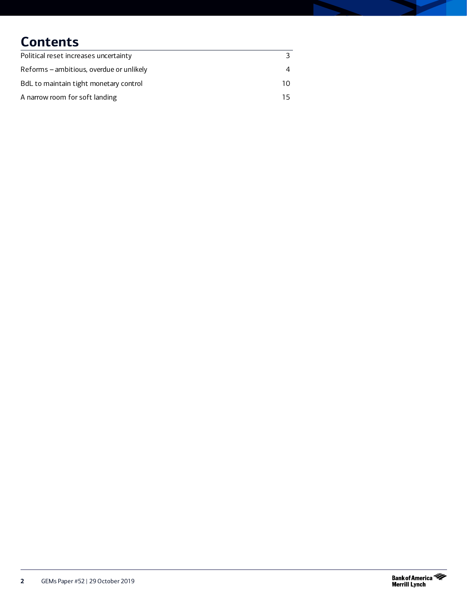# **Contents**

| Political reset increases uncertainty    |    |
|------------------------------------------|----|
| Reforms – ambitious, overdue or unlikely | 4  |
| BdL to maintain tight monetary control   | 10 |
| A narrow room for soft landing           | 15 |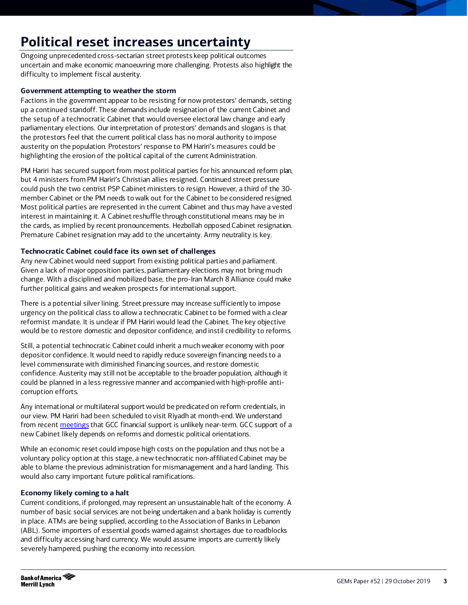# <span id="page-2-0"></span>**Political reset increases uncertainty**

Ongoing unprecedented cross-sectarian street protests keep political outcomes uncertain and make economic manoeuvring more challenging. Protests also highlight the difficulty to implement fiscal austerity.

### **Government attempting to weather the storm**

Factions in the government appear to be resisting for now protestors' demands, setting up a continued standoff. These demands include resignation of the current Cabinet and the setup of a technocratic Cabinet that would oversee electoral law change and early parliamentary elections. Our interpretation of protestors' demands and slogans is that the protestors feel that the current political class has no moral authority to impose austerity on the population. Protestors' response to PM Hariri's measures could be highlighting the erosion of the political capital of the current Administration.

PM Hariri has secured support from most political parties for his announced reform plan, but 4 ministers from PM Hariri's Christian allies resigned. Continued street pressure could push the two centrist PSP Cabinet ministers to resign. However, a third of the 30 member Cabinet or the PM needs to walk out for the Cabinet to be considered resigned. Most political parties are represented in the current Cabinet and thus may have a vested interest in maintaining it. A Cabinet reshuffle through constitutional means may be in the cards, as implied by recent pronouncements. Hezbollah opposed Cabinet resignation. Premature Cabinet resignation may add to the uncertainty. Army neutrality is key.

### **Technocratic Cabinet could face its own set of challenges**

Any new Cabinet would need support from existing political parties and parliament. Given a lack of major opposition parties, parliamentary elections may not bring much change. With a disciplined and mobilized base, the pro-Iran March 8 Alliance could make further political gains and weaken prospects for international support.

There is a potential silver lining. Street pressure may increase sufficiently to impose urgency on the political class to allow a technocratic Cabinet to be formed with a clear reformist mandate. It is unclear if PM Hariri would lead the Cabinet. The key objective would be to restore domestic and depositor confidence, and instil credibility to reforms.

Still, a potential technocratic Cabinet could inherit a much weaker economy with poor depositor confidence. It would need to rapidly reduce sovereign financing needs to a level commensurate with diminished financing sources, and restore domestic confidence. Austerity may still not be acceptable to the broader population, although it could be planned in a less regressive manner and accompanied with high-profile anticorruption efforts.

Any international or multilateral support would be predicated on reform credentials, in our view. PM Hariri had been scheduled to visit Riyadh at month-end. We understand from recen[t meetings](https://rsch.baml.com/r?q=zWz!4gpAvNN3zFUylJdZ3w&e=jean-michel.saliba%40bofa.com&h=JgtjgQ) that GCC financial support is unlikely near-term. GCC support of a new Cabinet likely depends on reforms and domestic political orientations.

While an economic reset could impose high costs on the population and thus not be a voluntary policy option at this stage, a new technocratic non-affiliated Cabinet may be able to blame the previous administration for mismanagement and a hard landing. This would also carry important future political ramifications.

### **Economy likely coming to a halt**

Current conditions, if prolonged, may represent an unsustainable halt of the economy. A number of basic social services are not being undertaken and a bank holiday is currently in place. ATMs are being supplied, according to the Association of Banks in Lebanon (ABL). Some importers of essential goods warned against shortages due to roadblocks and difficulty accessing hard currency. We would assume imports are currently likely severely hampered, pushing the economy into recession.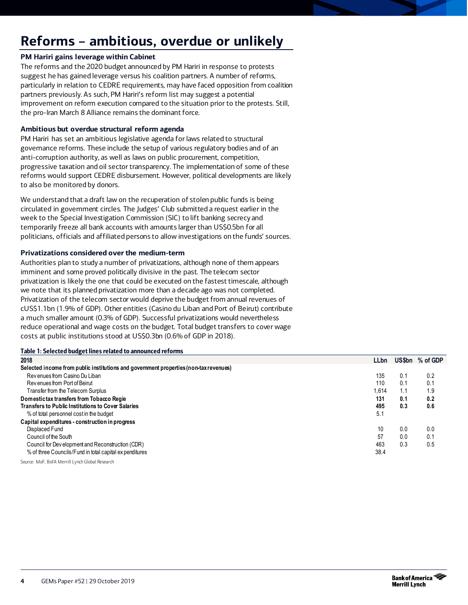# <span id="page-3-0"></span>**Reforms – ambitious, overdue or unlikely**

### **PM Hariri gains leverage within Cabinet**

The reforms and the 2020 budget announced by PM Hariri in response to protests suggest he has gained leverage versus his coalition partners. A number of reforms, particularly in relation to CEDRE requirements, may have faced opposition from coalition partners previously. As such, PM Hariri's reform list may suggest a potential improvement on reform execution compared to the situation prior to the protests. Still, the pro-Iran March 8 Alliance remains the dominant force.

#### **Ambitious but overdue structural reform agenda**

PM Hariri has set an ambitious legislative agenda for laws related to structural governance reforms. These include the setup of various regulatory bodies and of an anti-corruption authority, as well as laws on public procurement, competition, progressive taxation and oil sector transparency. The implementation of some of these reforms would support CEDRE disbursement. However, political developments are likely to also be monitored by donors.

We understand that a draft law on the recuperation of stolen public funds is being circulated in government circles. The Judges' Club submitted a request earlier in the week to the Special Investigation Commission (SIC) to lift banking secrecy and temporarily freeze all bank accounts with amounts larger than US\$0.5bn for all politicians, officials and affiliated persons to allow investigations on the funds' sources.

#### **Privatizations considered over the medium-term**

Authorities plan to study a number of privatizations, although none of them appears imminent and some proved politically divisive in the past. The telecom sector privatization is likely the one that could be executed on the fastest timescale, although we note that its planned privatization more than a decade ago was not completed. Privatization of the telecom sector would deprive the budget from annual revenues of cUS\$1.1bn (1.9% of GDP). Other entities (Casino du Liban and Port of Beirut) contribute a much smaller amount (0.3% of GDP). Successful privatizations would nevertheless reduce operational and wage costs on the budget. Total budget transfers to cover wage costs at public institutions stood at US\$0.3bn (0.6% of GDP in 2018).

| Table 1: Selected budget lines related to announced reforms                           |             |     |                 |
|---------------------------------------------------------------------------------------|-------------|-----|-----------------|
| 2018                                                                                  | <b>LLbn</b> |     | US\$bn % of GDP |
| Selected income from public institutions and government properties (non-tax revenues) |             |     |                 |
| Rev enues from Casino Du Liban                                                        | 135         | 0.1 | 0.2             |
| Revenues from Port of Beirut                                                          | 110         | 0.1 | 0.1             |
| Transfer from the Telecom Surplus                                                     | 1.614       | 1.1 | 1.9             |
| Domestictax transfers from Tobacco Regie                                              | 131         | 0.1 | 0.2             |
| <b>Transfers to Public Institutions to Cover Salaries</b>                             | 495         | 0.3 | 0.6             |
| % of total personnel cost in the budget                                               | 5.1         |     |                 |
| Capital expenditures - construction in progress                                       |             |     |                 |
| Displaced Fund                                                                        | 10          | 0.0 | 0.0             |
| Council of the South                                                                  | 57          | 0.0 | 0.1             |
| Council for Dev elopment and Reconstruction (CDR)                                     | 463         | 0.3 | 0.5             |
| % of three Councils/Fund in total capital expenditures                                | 38.4        |     |                 |

Source: MoF, BofA Merrill Lynch Global Research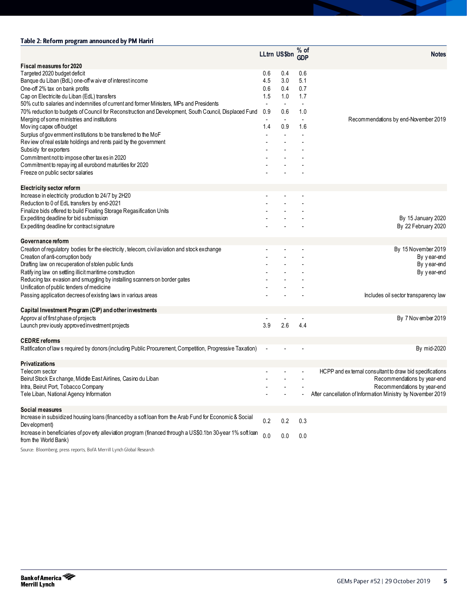### Table 2: Reform program announced by PM Hariri

|                                                                                                             |            | LLtrn US\$bn GDP | $%$ of     | <b>Notes</b>                                                |
|-------------------------------------------------------------------------------------------------------------|------------|------------------|------------|-------------------------------------------------------------|
| Fiscal measures for 2020                                                                                    |            |                  |            |                                                             |
| Targeted 2020 budget deficit<br>Banque du Liban (BdL) one-off waiver of interest income                     | 0.6<br>4.5 | 0.4<br>3.0       | 0.6<br>5.1 |                                                             |
| One-off 2% tax on bank profits                                                                              | 0.6        | 0.4              | 0.7        |                                                             |
| Cap on Electricite du Liban (EdL) transfers                                                                 | 1.5        | 1.0              | 1.7        |                                                             |
| 50% cut to salaries and indemnities of current and former Ministers. MPs and Presidents                     |            |                  |            |                                                             |
| 70% reduction to budgets of Council for Reconstruction and Development, South Council, Displaced Fund       | 0.9        | 0.6              | 1.0        |                                                             |
| Merging of some ministries and institutions                                                                 |            |                  |            | Recommendations by end-November 2019                        |
| Moving capex off-budget                                                                                     | 1.4        | 0.9              | 1.6        |                                                             |
| Surplus of government institutions to be transferred to the MoF                                             |            |                  |            |                                                             |
| Review of real estate holdings and rents paid by the government                                             |            |                  |            |                                                             |
| Subsidy for exporters                                                                                       |            |                  |            |                                                             |
| Commitment not to impose other tax es in 2020                                                               |            |                  |            |                                                             |
| Commitment to repay ing all eurobond maturities for 2020<br>Freeze on public sector salaries                |            |                  |            |                                                             |
|                                                                                                             |            |                  |            |                                                             |
| <b>Electricity sector reform</b>                                                                            |            |                  |            |                                                             |
| Increase in electricity production to 24/7 by 2H20                                                          |            |                  |            |                                                             |
| Reduction to 0 of EdL transfers by end-2021                                                                 |            |                  |            |                                                             |
| Finalize bids offered to build Floating Storage Regasification Units                                        |            |                  |            |                                                             |
| Expediting deadline for bid submission                                                                      |            |                  |            | By 15 January 2020                                          |
| Expediting deadline for contract signature                                                                  |            |                  |            | By 22 February 2020                                         |
|                                                                                                             |            |                  |            |                                                             |
| Governance reform                                                                                           |            |                  |            |                                                             |
| Creation of regulatory bodies for the electricity, telecom, civil aviation and stock exchange               |            |                  |            | By 15 November 2019                                         |
| Creation of anti-corruption body                                                                            |            |                  |            | By year-end                                                 |
| Drafting law on recuperation of stolen public funds                                                         |            |                  |            | By year-end                                                 |
| Ratifying law on settling illicit maritime construction                                                     |            |                  |            | By year-end                                                 |
| Reducing tax evasion and smuggling by installing scanners on border gates                                   |            |                  |            |                                                             |
| Unification of public tenders of medicine<br>Passing application decrees of existing laws in various areas  |            |                  |            |                                                             |
|                                                                                                             |            |                  |            | Includes oil sector transparency law                        |
| Capital Investment Program (CIP) and other investments                                                      |            |                  |            |                                                             |
| Approv al of first phase of projects                                                                        |            |                  |            | By 7 Nov ember 2019                                         |
| Launch previously approved investment projects                                                              | 3.9        | 2.6              | 4.4        |                                                             |
|                                                                                                             |            |                  |            |                                                             |
| <b>CEDRE</b> reforms                                                                                        |            |                  |            | By mid-2020                                                 |
| Ratification of law s required by donors (including Public Procurement, Competition, Progressive Taxation)  |            |                  |            |                                                             |
| <b>Privatizations</b>                                                                                       |            |                  |            |                                                             |
| Telecom sector                                                                                              |            |                  |            | HCPP and external consultant to draw bid specifications     |
| Beirut Stock Ex change, Middle East Airlines, Casino du Liban                                               |            |                  |            | Recommendations by year-end                                 |
| Intra, Beirut Port, Tobacco Company                                                                         |            |                  |            | Recommendations by year-end                                 |
| Tele Liban, National Agency Information                                                                     |            |                  |            | After cancellation of Information Ministry by November 2019 |
|                                                                                                             |            |                  |            |                                                             |
| Social measures                                                                                             |            |                  |            |                                                             |
| Increase in subsidized housing loans (financed by a soft loan from the Arab Fund for Economic & Social      | 0.2        | 0.2              | 0.3        |                                                             |
| Dev elopment)                                                                                               |            |                  |            |                                                             |
| Increase in beneficiaries of poverty alleviation program (financed through a US\$0.1bn 30-year 1% soft loan | 0.0        | 0.0              | 0.0        |                                                             |
| from the World Bank)                                                                                        |            |                  |            |                                                             |
| Source: Bloomberg, press reports, BofA Merrill Lynch Global Research                                        |            |                  |            |                                                             |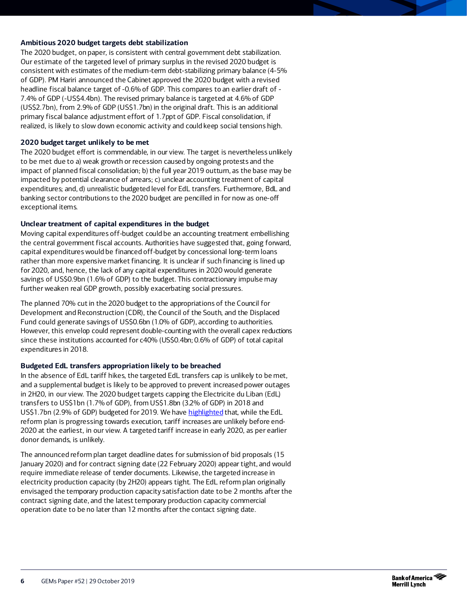### **Ambitious 2020 budget targets debt stabilization**

The 2020 budget, on paper, is consistent with central government debt stabilization. Our estimate of the targeted level of primary surplus in the revised 2020 budget is consistent with estimates of the medium-term debt-stabilizing primary balance (4-5% of GDP). PM Hariri announced the Cabinet approved the 2020 budget with a revised headline fiscal balance target of -0.6% of GDP. This compares to an earlier draft of - 7.4% of GDP (-US\$4.4bn). The revised primary balance is targeted at 4.6% of GDP (US\$2.7bn), from 2.9% of GDP (US\$1.7bn) in the original draft. This is an additional primary fiscal balance adjustment effort of 1.7ppt of GDP. Fiscal consolidation, if realized, is likely to slow down economic activity and could keep social tensions high.

#### **2020 budget target unlikely to be met**

The 2020 budget effort is commendable, in our view. The target is nevertheless unlikely to be met due to a) weak growth or recession caused by ongoing protests and the impact of planned fiscal consolidation; b) the full year 2019 outturn, as the base may be impacted by potential clearance of arrears; c) unclear accounting treatment of capital expenditures; and, d) unrealistic budgeted level for EdL transfers. Furthermore, BdL and banking sector contributions to the 2020 budget are pencilled in for now as one-off exceptional items.

#### **Unclear treatment of capital expenditures in the budget**

Moving capital expenditures off-budget could be an accounting treatment embellishing the central government fiscal accounts. Authorities have suggested that, going forward, capital expenditures would be financed off-budget by concessional long-term loans rather than more expensive market financing. It is unclear if such financing is lined up for 2020, and, hence, the lack of any capital expenditures in 2020 would generate savings of US\$0.9bn (1.6% of GDP) to the budget. This contractionary impulse may further weaken real GDP growth, possibly exacerbating social pressures.

The planned 70% cut in the 2020 budget to the appropriations of the Council for Development and Reconstruction (CDR), the Council of the South, and the Displaced Fund could generate savings of US\$0.6bn (1.0% of GDP), according to authorities. However, this envelop could represent double-counting with the overall capex reductions since these institutions accounted for c40% (US\$0.4bn; 0.6% of GDP) of total capital expenditures in 2018.

#### **Budgeted EdL transfers appropriation likely to be breached**

In the absence of EdL tariff hikes, the targeted EdL transfers cap is unlikely to be met, and a supplemental budget is likely to be approved to prevent increased power outages in 2H20, in our view. The 2020 budget targets capping the Electricite du Liban (EdL) transfers to US\$1bn (1.7% of GDP), from US\$1.8bn (3.2% of GDP) in 2018 and US\$1.7bn (2.9% of GDP) budgeted for 2019. We hav[e highlighted](https://rsch.baml.com/r?q=zWz!4gpAvNN3zFUylJdZ3w&e=jean-michel.saliba%40bofa.com&h=JgtjgQ) that, while the EdL reform plan is progressing towards execution, tariff increases are unlikely before end-2020 at the earliest, in our view. A targeted tariff increase in early 2020, as per earlier donor demands, is unlikely.

The announced reform plan target deadline dates for submission of bid proposals (15 January 2020) and for contract signing date (22 February 2020) appear tight, and would require immediate release of tender documents. Likewise, the targeted increase in electricity production capacity (by 2H20) appears tight. The EdL reform plan originally envisaged the temporary production capacity satisfaction date to be 2 months after the contract signing date, and the latest temporary production capacity commercial operation date to be no later than 12 months after the contact signing date.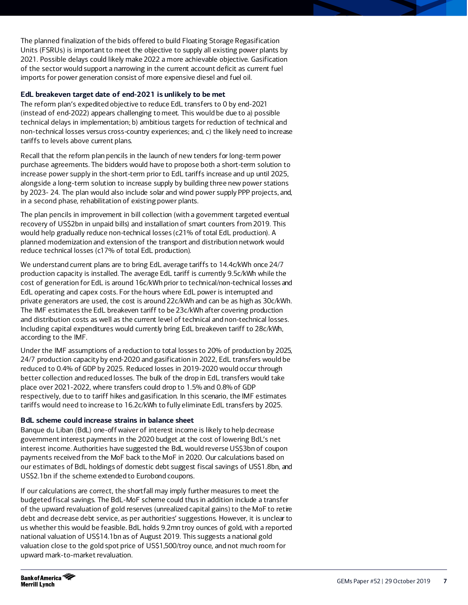The planned finalization of the bids offered to build Floating Storage Regasification Units (FSRUs) is important to meet the objective to supply all existing power plants by 2021. Possible delays could likely make 2022 a more achievable objective. Gasification of the sector would support a narrowing in the current account deficit as current fuel imports for power generation consist of more expensive diesel and fuel oil.

### **EdL breakeven target date of end-2021 is unlikely to be met**

The reform plan's expedited objective to reduce EdL transfers to 0 by end-2021 (instead of end-2022) appears challenging to meet. This would be due to a) possible technical delays in implementation; b) ambitious targets for reduction of technical and non-technical losses versus cross-country experiences; and, c) the likely need to increase tariffs to levels above current plans.

Recall that the reform plan pencils in the launch of new tenders for long-term power purchase agreements. The bidders would have to propose both a short-term solution to increase power supply in the short-term prior to EdL tariffs increase and up until 2025, alongside a long-term solution to increase supply by building three new power stations by 2023- 24. The plan would also include solar and wind power supply PPP projects, and, in a second phase, rehabilitation of existing power plants.

The plan pencils in improvement in bill collection (with a government targeted eventual recovery of US\$2bn in unpaid bills) and installation of smart counters from 2019. This would help gradually reduce non-technical losses (c21% of total EdL production). A planned modernization and extension of the transport and distribution network would reduce technical losses (c17% of total EdL production).

We understand current plans are to bring EdL average tariffs to 14.4c/kWh once 24/7 production capacity is installed. The average EdL tariff is currently 9.5c/kWh while the cost of generation for EdL is around 16c/kWh prior to technical/non-technical losses and EdL operating and capex costs. For the hours where EdL power is interrupted and private generators are used, the cost is around 22c/kWh and can be as high as 30c/kWh. The IMF estimates the EdL breakeven tariff to be 23c/kWh after covering production and distribution costs as well as the current level of technical and non-technical losses. Including capital expenditures would currently bring EdL breakeven tariff to 28c/kWh, according to the IMF.

Under the IMF assumptions of a reduction to total losses to 20% of production by 2025, 24/7 production capacity by end-2020 and gasification in 2022, EdL transfers would be reduced to 0.4% of GDP by 2025. Reduced losses in 2019-2020 would occur through better collection and reduced losses. The bulk of the drop in EdL transfers would take place over 2021-2022, where transfers could drop to 1.5% and 0.8% of GDP respectively, due to to tariff hikes and gasification. In this scenario, the IMF estimates tariffs would need to increase to 16.2c/kWh to fully eliminate EdL transfers by 2025.

#### **BdL scheme could increase strains in balance sheet**

Banque du Liban (BdL) one-off waiver of interest income is likely to help decrease government interest payments in the 2020 budget at the cost of lowering BdL's net interest income. Authorities have suggested the BdL would reverse US\$3bn of coupon payments received from the MoF back to the MoF in 2020. Our calculations based on our estimates of BdL holdings of domestic debt suggest fiscal savings of US\$1.8bn, and US\$2.1bn if the scheme extended to Eurobond coupons.

If our calculations are correct, the shortfall may imply further measures to meet the budgeted fiscal savings. The BdL-MoF scheme could thus in addition include a transfer of the upward revaluation of gold reserves (unrealized capital gains) to the MoF to retire debt and decrease debt service, as per authorities' suggestions. However, it is unclear to us whether this would be feasible. BdL holds 9.2mn troy ounces of gold, with a reported national valuation of US\$14.1bn as of August 2019. This suggests a national gold valuation close to the gold spot price of US\$1,500/troy ounce, and not much room for upward mark-to-market revaluation.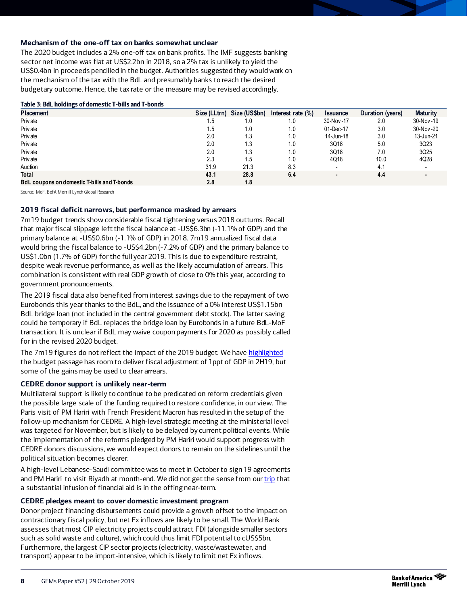### **Mechanism of the one-off tax on banks somewhat unclear**

The 2020 budget includes a 2% one-off tax on bank profits. The IMF suggests banking sector net income was flat at US\$2.2bn in 2018, so a 2% tax is unlikely to yield the US\$0.4bn in proceeds pencilled in the budget. Authorities suggested they would work on the mechanism of the tax with the BdL and presumably banks to reach the desired budgetary outcome. Hence, the tax rate or the measure may be revised accordingly.

#### Table 3: BdL holdings of domestic T-bills and T-bonds

| <b>Placement</b>                                   |      | Size (LLtrn) Size (US\$bn) | Interest rate $(\%)$ | <b>Issuance</b> | Duration (years) | <b>Maturity</b> |
|----------------------------------------------------|------|----------------------------|----------------------|-----------------|------------------|-----------------|
| Priv ate                                           | 1.5  | 1.0                        | 1.0                  | 30-Nov-17       | 2.0              | 30-Nov-19       |
| Priv ate                                           | 1.5  | 1.0                        | 1.0                  | 01-Dec-17       | 3.0              | 30-Nov-20       |
| Priv ate                                           | 2.0  | 1.3                        | 1.0                  | 14-Jun-18       | 3.0              | 13-Jun-21       |
| Priv ate                                           | 2.0  | 1.3                        | 1.0                  | 3Q18            | 5.0              | 3Q23            |
| Priv ate                                           | 2.0  | 1.3                        | 1.0                  | 3Q18            | 7.0              | 3Q25            |
| Priv ate                                           | 2.3  | 1.5                        | 1.0                  | 4Q18            | 10.0             | 4Q28            |
| Auction                                            | 31.9 | 21.3                       | 8.3                  |                 | 4.1              |                 |
| <b>Total</b>                                       | 43.1 | 28.8                       | 6.4                  |                 | 4.4              |                 |
| <b>BdL coupons on domestic T-bills and T-bonds</b> | 2.8  | 1.8                        |                      |                 |                  |                 |

Source: MoF, BofA Merrill Lynch Global Research

#### **2019 fiscal deficit narrows, but performance masked by arrears**

7m19 budget trends show considerable fiscal tightening versus 2018 outturns. Recall that major fiscal slippage left the fiscal balance at -US\$6.3bn (-11.1% of GDP) and the primary balance at -US\$0.6bn (-1.1% of GDP) in 2018. 7m19 annualized fiscal data would bring the fiscal balance to -US\$4.2bn (-7.2% of GDP) and the primary balance to US\$1.0bn (1.7% of GDP) for the full year 2019. This is due to expenditure restraint, despite weak revenue performance, as well as the likely accumulation of arrears. This combination is consistent with real GDP growth of close to 0% this year, according to government pronouncements.

The 2019 fiscal data also benefited from interest savings due to the repayment of two Eurobonds this year thanks to the BdL, and the issuance of a 0% interest US\$1.15bn BdL bridge loan (not included in the central government debt stock). The latter saving could be temporary if BdL replaces the bridge loan by Eurobonds in a future BdL-MoF transaction. It is unclear if BdL may waive coupon payments for 2020 as possibly called for in the revised 2020 budget.

The 7m19 figures do not reflect the impact of the 2019 budget. We hav[e highlighted](https://rsch.baml.com/r?q=Us9xQtZkjjQYgf2khLIKnQ&e=jean-michel.saliba%40baml.com&h=MrlpdQ) the budget passage has room to deliver fiscal adjustment of 1ppt of GDP in 2H19, but some of the gains may be used to clear arrears.

#### **CEDRE donor support is unlikely near-term**

Multilateral support is likely to continue to be predicated on reform credentials given the possible large scale of the funding required to restore confidence, in our view. The Paris visit of PM Hariri with French President Macron has resulted in the setup of the follow-up mechanism for CEDRE. A high-level strategic meeting at the ministerial level was targeted for November, but is likely to be delayed by current political events. While the implementation of the reforms pledged by PM Hariri would support progress with CEDRE donors discussions, we would expect donors to remain on the sidelines until the political situation becomes clearer.

A high-level Lebanese-Saudi committee was to meet in October to sign 19 agreements and PM Hariri to visit Riyadh at month-end. We did not get the sense from our *trip* that a substantial infusion of financial aid is in the offing near-term.

#### **CEDRE pledges meant to cover domestic investment program**

Donor project financing disbursements could provide a growth offset to the impact on contractionary fiscal policy, but net Fx inflows are likely to be small. The World Bank assesses that most CIP electricity projects could attract FDI (alongside smaller sectors such as solid waste and culture), which could thus limit FDI potential to cUS\$5bn. Furthermore, the largest CIP sector projects (electricity, waste/wastewater, and transport) appear to be import-intensive, which is likely to limit net Fx inflows.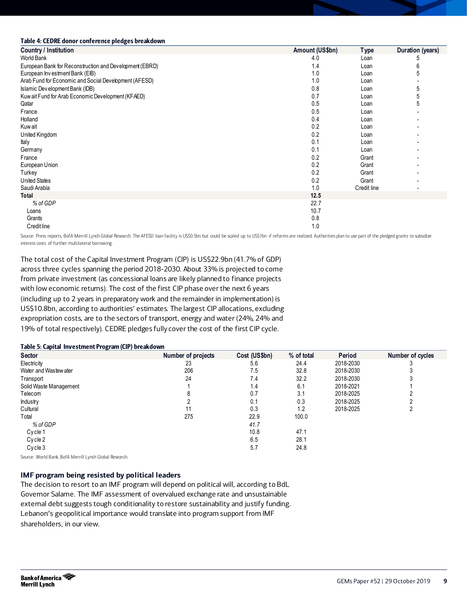#### Table 4: CEDRE donor conference pledges breakdown

| <b>Country / Institution</b>                            | Amount (US\$bn) | <b>Type</b> | Duration (years) |
|---------------------------------------------------------|-----------------|-------------|------------------|
| World Bank                                              | 4.0             | Loan        |                  |
| European Bank for Reconstruction and Development (EBRD) | 1.4             | Loan        | 6                |
| European Investment Bank (EIB)                          | 1.0             | Loan        |                  |
| Arab Fund for Economic and Social Development (AFESD)   | 1.0             | Loan        |                  |
| Islamic Dev elopment Bank (IDB)                         | 0.8             | Loan        | 5                |
| Kuw ait Fund for Arab Economic Development (KFAED)      | 0.7             | Loan        | 5                |
| Qatar                                                   | 0.5             | Loan        | 5                |
| France                                                  | 0.5             | Loan        |                  |
| Holland                                                 | 0.4             | Loan        |                  |
| Kuw ait                                                 | 0.2             | Loan        |                  |
| United Kingdom                                          | 0.2             | Loan        |                  |
| Italy                                                   | 0.1             | Loan        |                  |
| Germany                                                 | 0.1             | Loan        |                  |
| France                                                  | 0.2             | Grant       |                  |
| European Union                                          | 0.2             | Grant       |                  |
| Turkey                                                  | 0.2             | Grant       |                  |
| <b>United States</b>                                    | 0.2             | Grant       |                  |
| Saudi Arabia                                            | 1.0             | Credit line |                  |
| Total                                                   | 12.5            |             |                  |
| % of GDP                                                | 22.7            |             |                  |
| Loans                                                   | 10.7            |             |                  |
| Grants                                                  | 0.8             |             |                  |
| Credit line                                             | 1.0             |             |                  |

Source: Press reports, BofA Merrill Lynch Global Research. The AFESD loan facility is US\$0.5bn but could be scaled up to US\$1bn if reforms are realized. Authorities plan to use part of the pledged grants to subsidize interest costs of further multilateral borrowing.

The total cost of the Capital Investment Program (CIP) is US\$22.9bn (41.7% of GDP) across three cycles spanning the period 2018-2030. About 33% is projected to come from private investment (as concessional loans are likely planned to finance projects with low economic returns). The cost of the first CIP phase over the next 6 years (including up to 2 years in preparatory work and the remainder in implementation) is US\$10.8bn, according to authorities' estimates. The largest CIP allocations, excluding expropriation costs, are to the sectors of transport, energy and water (24%, 24% and 19% of total respectively). CEDRE pledges fully cover the cost of the first CIP cycle.

#### Table 5: Capital Investment Program (CIP) breakdown

| <b>Sector</b>          | Number of projects | Cost (US\$bn) | % of total | Period    | Number of cycles |
|------------------------|--------------------|---------------|------------|-----------|------------------|
| Electricity            | 23                 | 5.6           | 24.4       | 2018-2030 |                  |
| Water and Wastew ater  | 206                | 7.5           | 32.8       | 2018-2030 |                  |
| Transport              | 24                 | 7.4           | 32.2       | 2018-2030 |                  |
| Solid Waste Management |                    | 1.4           | 6.1        | 2018-2021 |                  |
| Telecom                | 8                  | 0.7           | 3.1        | 2018-2025 |                  |
| <b>Industry</b>        |                    | 0.1           | 0.3        | 2018-2025 |                  |
| Cultural               | 11                 | 0.3           | 1.2        | 2018-2025 |                  |
| Total                  | 275                | 22.9          | 100.0      |           |                  |
| % of GDP               |                    | 41.7          |            |           |                  |
| Cycle 1                |                    | 10.8          | 47.1       |           |                  |
| Cycle 2                |                    | 6.5           | 28.1       |           |                  |
| Cycle 3                |                    | 5.7           | 24.8       |           |                  |

Source: World Bank, BofA Merrill Lynch Global Research.

#### **IMF program being resisted by political leaders**

The decision to resort to an IMF program will depend on political will, according to BdL Governor Salame. The IMF assessment of overvalued exchange rate and unsustainable external debt suggests tough conditionality to restore sustainability and justify funding. Lebanon's geopolitical importance would translate into program support from IMF shareholders, in our view.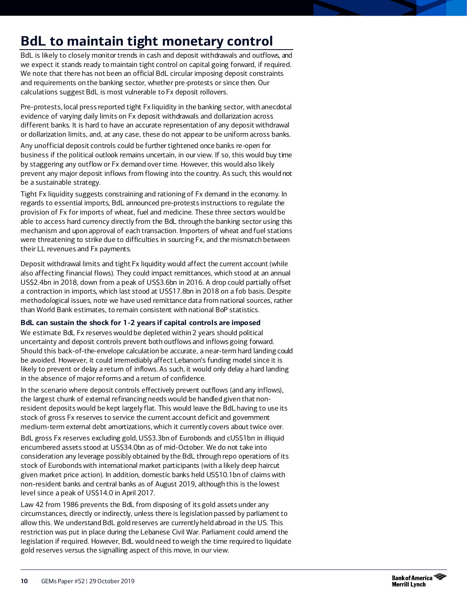# <span id="page-9-0"></span>**BdL to maintain tight monetary control**

BdL is likely to closely monitor trends in cash and deposit withdrawals and outflows, and we expect it stands ready to maintain tight control on capital going forward, if required. We note that there has not been an official BdL circular imposing deposit constraints and requirements on the banking sector, whether pre-protests or since then. Our calculations suggest BdL is most vulnerable to Fx deposit rollovers.

Pre-protests, local press reported tight Fx liquidity in the banking sector, with anecdotal evidence of varying daily limits on Fx deposit withdrawals and dollarization across different banks. It is hard to have an accurate representation of any deposit withdrawal or dollarization limits, and, at any case, these do not appear to be uniform across banks.

Any unofficial deposit controls could be further tightened once banks re-open for business if the political outlook remains uncertain, in our view. If so, this would buy time by staggering any outflow or Fx demand over time. However, this would also likely prevent any major deposit inflows from flowing into the country. As such, this would not be a sustainable strategy.

Tight Fx liquidity suggests constraining and rationing of Fx demand in the economy. In regards to essential imports, BdL announced pre-protests instructions to regulate the provision of Fx for imports of wheat, fuel and medicine. These three sectors would be able to access hard currency directly from the BdL through the banking sector using this mechanism and upon approval of each transaction. Importers of wheat and fuel stations were threatening to strike due to difficulties in sourcing Fx, and the mismatch between their LL revenues and Fx payments.

Deposit withdrawal limits and tight Fx liquidity would affect the current account (while also affecting financial flows). They could impact remittances, which stood at an annual US\$2.4bn in 2018, down from a peak of US\$3.6bn in 2016. A drop could partially offset a contraction in imports, which last stood at US\$17.8bn in 2018 on a fob basis. Despite methodological issues, note we have used remittance data from national sources, rather than World Bank estimates, to remain consistent with national BoP statistics.

### **BdL can sustain the shock for 1-2 years if capital controls are imposed**

We estimate BdL Fx reserves would be depleted within 2 years should political uncertainty and deposit controls prevent both outflows and inflows going forward. Should this back-of-the-envelope calculation be accurate, a near-term hard landing could be avoided. However, it could irremediably affect Lebanon's funding model since it is likely to prevent or delay a return of inflows. As such, it would only delay a hard landing in the absence of major reforms and a return of confidence.

In the scenario where deposit controls effectively prevent outflows (and any inflows), the largest chunk of external refinancing needs would be handled given that nonresident deposits would be kept largely flat. This would leave the BdL having to use its stock of gross Fx reserves to service the current account deficit and government medium-term external debt amortizations, which it currently covers about twice over.

BdL gross Fx reserves excluding gold, US\$3.3bn of Eurobonds and cUS\$1bn in illiquid encumbered assets stood at US\$34.0bn as of mid-October. We do not take into consideration any leverage possibly obtained by the BdL through repo operations of its stock of Eurobonds with international market participants (with a likely deep haircut given market price action). In addition, domestic banks held US\$10.1bn of claims with non-resident banks and central banks as of August 2019, although this is the lowest level since a peak of US\$14.0 in April 2017.

Law 42 from 1986 prevents the BdL from disposing of its gold assets under any circumstances, directly or indirectly, unless there is legislation passed by parliament to allow this. We understand BdL gold reserves are currently held abroad in the US. This restriction was put in place during the Lebanese Civil War. Parliament could amend the legislation if required. However, BdL would need to weigh the time required to liquidate gold reserves versus the signalling aspect of this move, in our view.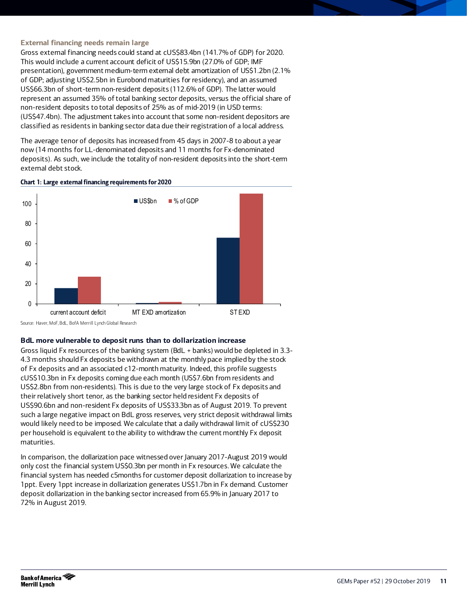#### **External financing needs remain large**

Gross external financing needs could stand at cUS\$83.4bn (141.7% of GDP) for 2020. This would include a current account deficit of US\$15.9bn (27.0% of GDP; IMF presentation), government medium-term external debt amortization of US\$1.2bn (2.1% of GDP; adjusting US\$2.5bn in Eurobond maturities for residency), and an assumed US\$66.3bn of short-term non-resident deposits (112.6% of GDP). The latter would represent an assumed 35% of total banking sector deposits, versus the official share of non-resident deposits to total deposits of 25% as of mid-2019 (in USD terms: (US\$47.4bn). The adjustment takes into account that some non-resident depositors are classified as residents in banking sector data due their registration of a local address.

The average tenor of deposits has increased from 45 days in 2007-8 to about a year now (14 months for LL-denominated deposits and 11 months for Fx-denominated deposits). As such, we include the totality of non-resident deposits into the short-term external debt stock.

#### Chart 1: Large external financing requirements for 2020



Source: Haver, MoF, BdL, BofA Merrill Lynch Global Research

#### **BdL more vulnerable to deposit runs than to dollarization increase**

Gross liquid Fx resources of the banking system (BdL + banks) would be depleted in 3.3- 4.3 months should Fx deposits be withdrawn at the monthly pace implied by the stock of Fx deposits and an associated c12-month maturity. Indeed, this profile suggests cUS\$10.3bn in Fx deposits coming due each month (US\$7.6bn from residents and US\$2.8bn from non-residents). This is due to the very large stock of Fx deposits and their relatively short tenor, as the banking sector held resident Fx deposits of US\$90.6bn and non-resident Fx deposits of US\$33.3bn as of August 2019. To prevent such a large negative impact on BdL gross reserves, very strict deposit withdrawal limits would likely need to be imposed. We calculate that a daily withdrawal limit of cUS\$230 per household is equivalent to the ability to withdraw the current monthly Fx deposit maturities.

In comparison, the dollarization pace witnessed over January 2017-August 2019 would only cost the financial system US\$0.3bn per month in Fx resources. We calculate the financial system has needed c5months for customer deposit dollarization to increase by 1ppt. Every 1ppt increase in dollarization generates US\$1.7bn in Fx demand. Customer deposit dollarization in the banking sector increased from 65.9% in January 2017 to 72% in August 2019.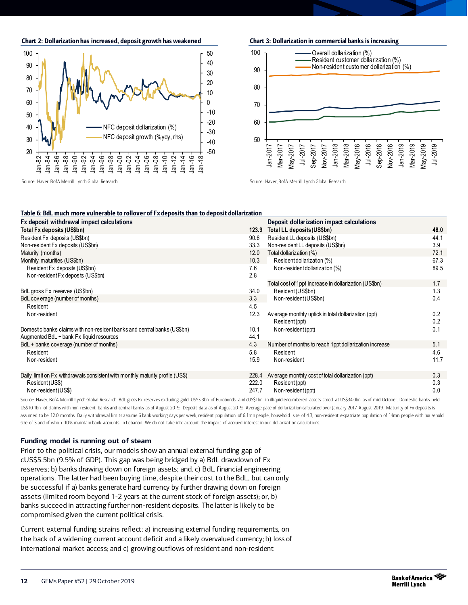Chart 2: Dollarization has increased, deposit growth has weakened



Chart 3: Dollarization in commercial banks is increasing 60 70 80 90 100 Jan-2017 Mar-2017 May-2017 Jul-2017 Sep-2017 Nov-2017 Jan-2018 Mar-2018 May-2018 Jul-2018 Sep-2018 Nov-2018 Jan-2019 Mar-2019 May-2019 Jul-2019 Overall dollarization (%) Resident customer dollarization (%) Non-resident customer dollarization (%)

Source: Haver, BofA Merrill Lynch Global Research.

Source: Haver, BofA Merrill Lynch Global Research.

| Fx deposit withdrawal impact calculations                                     |       | Deposit dollarization impact calculations             |      |
|-------------------------------------------------------------------------------|-------|-------------------------------------------------------|------|
| Total Fx deposits (US\$bn)                                                    | 123.9 | Total LL deposits (US\$bn)                            | 48.0 |
| Resident Fx deposits (US\$bn)                                                 | 90.6  | Resident LL deposits (US\$bn)                         | 44.1 |
| Non-resident Fx deposits (US\$bn)                                             | 33.3  | Non-resident LL deposits (US\$bn)                     | 3.9  |
| Maturity (months)                                                             | 12.0  | Total dollarization (%)                               | 72.1 |
| Monthly maturities (US\$bn)                                                   | 10.3  | Resident dollarization (%)                            | 67.3 |
| Resident Fx deposits (US\$bn)                                                 | 7.6   | Non-resident dollarization (%)                        | 89.5 |
| Non-resident Fx deposits (US\$bn)                                             | 2.8   |                                                       |      |
|                                                                               |       | Total cost of 1ppt increase in dollarization (US\$bn) | 1.7  |
| BdL gross Fx reserves (US\$bn)                                                | 34.0  | Resident (US\$bn)                                     | 1.3  |
| BdL coverage (number of months)                                               | 3.3   | Non-resident (US\$bn)                                 | 0.4  |
| Resident                                                                      | 4.5   |                                                       |      |
| Non-resident                                                                  | 12.3  | Average monthly uptick in total dollarization (ppt)   | 0.2  |
|                                                                               |       | Resident (ppt)                                        | 0.2  |
| Domestic banks claims with non-resident banks and central banks (US\$bn)      | 10.1  | Non-resident (ppt)                                    | 0.1  |
| Augmented BdL + bank Fx liquid resources                                      | 44.1  |                                                       |      |
| BdL + banks coverage (number of months)                                       | 4.3   | Number of months to reach 1ppt dollarization increase | 5.1  |
| Resident                                                                      | 5.8   | Resident                                              | 4.6  |
| Non-resident                                                                  | 15.9  | Non-resident                                          | 11.7 |
|                                                                               |       |                                                       |      |
| Daily limit on Fx withdrawals consistent with monthly maturity profile (US\$) | 228.4 | Average monthly cost of total dollarization (ppt)     | 0.3  |
| Resident (US\$)                                                               | 222.0 | Resident (ppt)                                        | 0.3  |
| Non-resident (US\$)                                                           | 247.7 | Non-resident (ppt)                                    | 0.0  |

Source: Haver, BofA Merrill Lynch Global Research. BdL gross Fx reserves excluding gold, US\$3.3bn of Eurobonds and cUS\$1bn in illiquid encumbered assets stood at US\$34.0bn as of mid-October. Domestic banks held US\$10.1bn of claims with non-resident banks and central banks as of August 2019. Deposit data as of August 2019. Average pace of dollarization calculated over January 2017-August 2019. Maturity of Fx deposits is assumed to be 12.0 months. Daily withdrawal limits assume 6 bank working days per week, resident population of 6.1mn people, household size of 4.3, non-resident expatriate population of 14mn people with household size of 3 and of which 10% maintain bank accounts in Lebanon. We do not take into account the impact of accrued interest in our dollarization calculations.

#### **Funding model is running out of steam**

Prior to the political crisis, our models show an annual external funding gap of cUS\$5.5bn (9.5% of GDP). This gap was being bridged by a) BdL drawdown of Fx reserves; b) banks drawing down on foreign assets; and, c) BdL financial engineering operations. The latter had been buying time, despite their cost to the BdL, but can only be successful if a) banks generate hard currency by further drawing down on foreign assets (limited room beyond 1-2 years at the current stock of foreign assets); or, b) banks succeed in attracting further non-resident deposits. The latter is likely to be compromised given the current political crisis.

Current external funding strains reflect: a) increasing external funding requirements, on the back of a widening current account deficit and a likely overvalued currency; b) loss of international market access; and c) growing outflows of resident and non-resident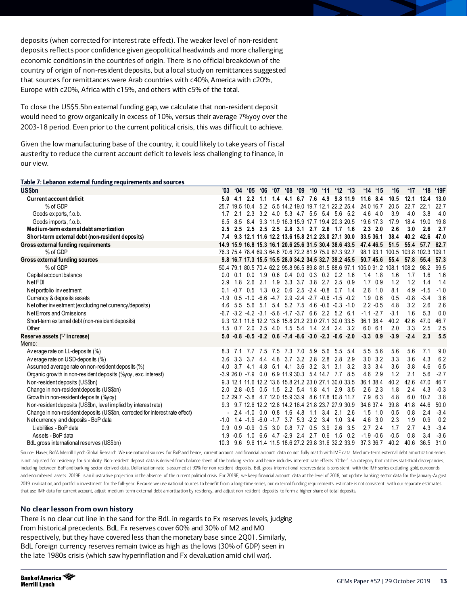deposits (when corrected for interest rate effect). The weaker level of non-resident deposits reflects poor confidence given geopolitical headwinds and more challenging economic conditions in the countries of origin. There is no official breakdown of the country of origin of non-resident deposits, but a local study on remittances suggested that sources for remittances were Arab countries with c40%, America with c20%, Europe with c20%, Africa with c15%, and others with c5% of the total.

To close the US\$5.5bn external funding gap, we calculate that non-resident deposit would need to grow organically in excess of 10%, versus their average 7%yoy over the 2003-18 period. Even prior to the current political crisis, this was difficult to achieve.

Given the low manufacturing base of the country, it could likely to take years of fiscal austerity to reduce the current account deficit to levels less challenging to finance, in our view.

#### Table 7: Lebanon external funding requirements and sources

| <b>US\$bn</b>                                                                | '03    | $^{\circ}04$     | <b>'05</b>      | <b>06°</b> | 07'             | 08'                             | 09'         | $^{\circ}10$ | $^{\circ}11$             | $^{\circ}12$                                                       | '13             | $^{\circ}14$ | <b>'15</b>      | $^{\circ}16$                                                                  | $^{\circ}17$                | '18    | '19F   |
|------------------------------------------------------------------------------|--------|------------------|-----------------|------------|-----------------|---------------------------------|-------------|--------------|--------------------------|--------------------------------------------------------------------|-----------------|--------------|-----------------|-------------------------------------------------------------------------------|-----------------------------|--------|--------|
| Current account deficit                                                      |        | 4.1              | 2.2             |            | 1.4             | 4.1                             |             | 6.7 7.6      | 4.9                      |                                                                    | 9.8 11.9        | 11.6 8.4     |                 | 10.5                                                                          | 12.1                        | 12.4   | 13.0   |
| % of GDP                                                                     |        | 25.7 19.5 10.4   |                 | 5.2        |                 |                                 |             |              |                          | 5.5 14.2 19.0 19.7 12.1 22.2 25.4                                  |                 | 24.0 16.7    |                 | 20.5                                                                          | 22.7                        | 22.1   | 22.7   |
| Goods exports, f.o.b.                                                        | 1.7    | 2.1              | 2.3             |            | $3.2 \quad 4.0$ |                                 |             |              | 5.3 4.7 5.5 5.4          | 5.6                                                                | 5.2             |              | 4.6 4.0         | 3.9                                                                           | 4.0                         | 3.8    | 4.0    |
| Goods imports, f.o.b.                                                        | 6.5    | 8.5              | 84              |            |                 |                                 |             |              |                          | 9.3 11.9 16.3 15.9 17.7 19.4 20.3 20.5                             |                 | 19.6 17.3    |                 | 17.9                                                                          | 18.4                        | 19.0   | 19.8   |
| Medium-term external debt amortization                                       |        | 2.5              |                 |            |                 |                                 |             |              |                          | 2.5 2.5 2.5 2.8 3.1 2.7 2.6 1.7 1.6                                |                 |              | $2.3$ $2.0$     | 2.6                                                                           | 3.0                         | 2.6    | 2.7    |
| Short-term external debt (non-resident deposits)                             |        |                  |                 |            |                 |                                 |             |              |                          | 9.3 12.1 11.6 12.2 13.6 15.8 21.2 23.0 27.1 30.0                   |                 | 33.5 36.1    |                 | 38.4                                                                          | 40.2                        | 42.6   | 47.0   |
| Gross external funding requirements                                          |        |                  |                 |            |                 |                                 |             |              |                          | 14.9 15.9 16.8 15.3 16.1 20.6 25.6 31.5 30.4 38.6 43.5             |                 |              | 47.4 46.5       | 51.5                                                                          | 55.4                        | 57.7   | 62.7   |
| % of GDP                                                                     |        |                  |                 |            |                 |                                 |             |              |                          | 76.3 75.4 78.4 69.3 64.6 70.6 72.2 81.9 75.9 87.3 92.7             |                 |              |                 |                                                                               | 98.1 93.1 100.5 103.8 102.3 |        | 109.1  |
| Gross external funding sources                                               |        |                  |                 |            |                 |                                 |             |              |                          | 9.8 16.7 17.3 15.5 15.5 28.0 34.2 34.5 32.7 39.2 45.5              |                 |              | 50.745.6        | 55.4                                                                          | 57.8                        | 55.4   | 57.3   |
| % of GDP                                                                     |        |                  |                 |            |                 |                                 |             |              |                          |                                                                    |                 |              |                 | 50.4 79.1 80.5 70.4 62.2 95.8 96.5 89.8 81.5 88.6 97.1 105.0 91.2 108.1 108.2 |                             | 98.2   | 99.5   |
| Capital account balance                                                      | n n    | 0.1              |                 |            |                 |                                 |             |              |                          | 0.0 1.9 0.6 0.4 0.0 0.3 0.2 0.2 1.6                                |                 |              | $1.4$ 1.8       | 1.6                                                                           | 1.7                         | 1.6    | 1.6    |
| Net FDI                                                                      | 2.9    | 1.8              | 2.6             |            |                 |                                 |             |              |                          | 2.1 1.9 3.3 3.7 3.8 2.7 2.5 0.9                                    |                 |              | $1.7 \quad 0.9$ | 1.2                                                                           | 1.2                         | 1.4    | 1.4    |
| Net portfolio investment                                                     | 0.1    | $-0.7$           | 0.5             | 1.3        |                 | $0.2$ $0.6$ $2.5$ $-2.4$ $-0.8$ |             |              |                          |                                                                    | $0.7 \quad 1.4$ |              | $2.6$ 1.0       | 8.1                                                                           | 4.9                         | $-1.5$ | $-1.0$ |
| Currency & deposits assets                                                   | $-1.9$ | 0.5              | $-1.0$          | $-6.6$     | $-4.7$          |                                 | $2.9 - 2.4$ |              |                          | $-2.7 -0.6 -1.5 -0.2$                                              |                 |              | $1.9$ 0.6       | 0.5                                                                           | $-0.8$                      | $-3.4$ | 3.6    |
| Net other investment (excluding net currency/deposits)                       | 4.6    | 5.5              | 5.6             | 5.1        | 5.4             |                                 |             |              |                          | $5.2$ $7.5$ $4.6$ $-0.6$ $-0.3$ $-1.0$                             |                 |              | $2.2 - 0.5$     | 4.8                                                                           | 3.2                         | 2.6    | 2.6    |
| Net Errors and Omissions                                                     |        |                  |                 |            |                 |                                 |             |              |                          | $-3.2$ $-4.2$ $-3.1$ $-5.6$ $-1.7$ $-3.7$ 6.6 2.2 5.2 6.1          |                 |              | $-1.1 - 2.7$    | $-3.1$                                                                        | 1.6                         | 5.3    | 0.0    |
| Short-term external debt (non-resident deposits)                             |        |                  |                 |            |                 |                                 |             |              |                          | 9.3 12.1 11.6 12.2 13.6 15.8 21.2 23.0 27.1 30.0 33.5              |                 | 36.1 38.4    |                 | 40.2                                                                          | 42.6                        | 47.0   | 46.7   |
| Other                                                                        | 1.5    |                  |                 |            |                 |                                 |             |              |                          | 0.7 2.0 2.5 4.0 1.5 5.4 1.4 2.4 2.4 3.2                            |                 |              | $6.0\quad 6.1$  | 2.0                                                                           | 3.3                         | 2.5    | 2.5    |
| Reserve assets ('-'increase)<br>Memo:                                        | 5.0    |                  |                 |            |                 |                                 |             |              |                          | $-0.8$ $-0.5$ $-0.2$ 0.6 $-7.4$ $-8.6$ $-3.0$ $-2.3$ $-0.6$ $-2.0$ |                 |              | $-3.3$ 0.9      | $-3.9$                                                                        | $-2.4$                      | 2.3    | 5.5    |
| Average rate on LL-deposits (%)                                              | 8.3    |                  | 7.7             |            |                 | 7.5 7.5 7.3 7.0 5.9             |             |              |                          | 5.6 5.5                                                            | 5.4             |              | 5.5 5.6         | 5.6                                                                           | 5.6                         | 7.1    | 9.0    |
| Average rate on USD-deposits (%)                                             | 36     | 3.3              | 3.7             | 4.4        | 4.8             |                                 | 3.7 3.2     | 2.8          | 2.8                      | 2.8                                                                | 2.9             |              | $3.0$ $3.2$     | 3.3                                                                           | 3.6                         | 4.3    | 6.2    |
| Assumed average rate on non-resident deposits (%)                            | 40     |                  | $3.7 \quad 4.1$ | 4.8        |                 | $5.1$ 4.1 3.6                   |             |              | $3.2 \quad 3.1$          | 3.1                                                                | 3.2             |              | $3.3 \quad 3.4$ | 3.6                                                                           | 3.8                         | 4.6    | 6.5    |
| Organic grow th in non-resident deposits (%yoy, exc. interest)               |        | $-3.926.0 - 7.9$ |                 |            |                 |                                 |             |              |                          | 0.0 6.9 11.9 30.3 5.4 14.7 7.7                                     | 8.5             |              | 4.6 2.9         | 1.2                                                                           | 2.1                         | 5.6    | $-2.7$ |
| Non-resident deposits (US\$bn)                                               |        | 9.3 12           | 11.6            |            |                 |                                 |             |              |                          | 12.2 13.6 15.8 21.2 23.0 27.1 30.0 33.5                            |                 | 36.1 38.4    |                 | 40.2                                                                          | 42.6                        | 47.0   | 46.7   |
| Change in non-resident deposits (US\$bn)                                     | 20     | 2.8              | $-0.5$          | 0.5        |                 | $1.5$ 2.2 5.4                   |             | 1.8          | 4.1                      |                                                                    | $2.9$ 3.5       |              | $2.6$ $2.3$     | 1.8                                                                           | 2.4                         | 4.3    | $-0.3$ |
| Grow th in non-resident deposits (%yoy)                                      |        |                  |                 |            |                 |                                 |             |              |                          | 0.2 29.7 -3.8 4.7 12.0 15.9 33.9 8.6 17.8 10.8 11.7                |                 |              | 7.9 6.3         | 4.8                                                                           | 6.0                         | 10.2   | 3.8    |
| Non-resident deposits (US\$bn, level implied by interest rate)               | 9.3    |                  |                 |            |                 |                                 |             |              |                          | 9.7 12.6 12.2 12.8 14.2 16.4 21.8 23.7 27.9 30.9                   |                 | 34.6 37.4    |                 | 39.8                                                                          | 41.8                        | 44.6   | 50.0   |
| Change in non-resident deposits (US\$bn, corrected for interest rate effect) |        |                  | $2.4 - 1.0$     | 0.0        | 0.8             | 1.6                             | 4.8         | 1.1          | 3.4                      | 2.1                                                                | 2.6             |              | $1.5$ $1.0$     | 0.5                                                                           | 0.8                         | 2.4    | $-3.4$ |
| Net currency and deposits - BoP data                                         | $-1.0$ | 14               | $-1.9$          |            | $-6.0 -1.7$     |                                 |             |              | $3.7$ $5.3$ $-2.2$ $3.4$ | 1.0                                                                | 3.4             |              | 4.6 3.0         | 2.3                                                                           | 1.9                         | 0.9    | 0.2    |
| Liabilities - BoP data                                                       | 0.9    | 0.9              | $-0.9$          | 0.5        | 3.0             | 0.8                             | 7.7         |              |                          | $0.5$ 3.9 2.6                                                      | 3.5             |              | $2.7$ $2.4$     | 1.7                                                                           | 2.7                         | 4.3    | $-3.4$ |
| Assets - BoP data                                                            |        | $-0.5$           |                 |            |                 |                                 |             |              |                          | 1.0 6.6 4.7 -2.9 2.4 2.7 0.6 1.5                                   | 0.2             |              | $-1.9 - 0.6$    | $-0.5$                                                                        | 0.8                         | 34     | $-3.6$ |
| BdL gross international reserves (US\$bn)                                    | 10.3   |                  |                 |            |                 |                                 |             |              |                          | 9.6 9.6 11.4 11.5 18.6 27.2 29.8 31.6 32.2 33.9                    |                 | 37.3 36.7    |                 | 40.2                                                                          | 40.6                        | 36.5   | 31.0   |

Source: Haver, BofA Merrill Lynch Global Research. We use national sources for BoP and hence, current account and financial account data do not fully match with IMF data. Medium-term external debt amortization series is not adjusted for residency for simplicity. Non-resident deposit data is derived from balance sheet of the banking sector and hence indudes interest rate effects. 'Other' is a category that catches statistical discrepanc including between BoP and banking sector-derived data. Dollarization rate is assumed at 90% for non-resident deposits. BdL gross international reserves data is consistent with the IMF series excluding gold, eurobonds and encumbered assets. 2019F is an illustrative projection in the absence of the current political crisis. For 2019F, we keep financial account data at the level of 2018, but update banking sector data for the January-Augu 2019 realization, and portfolio investment for the full-year. Because we use national sources to benefit from a long-time series, our external funding requirements estimate is not consistent with our separate estimates that use IMF data for current account, adjust medium-term external debt amortization by residency, and adjust non-resident deposits to form a higher share of total deposits.

#### **No clear lesson from own history**

There is no clear cut line in the sand for the BdL in regards to Fx reserves levels, judging from historical precedents. BdL Fx reserves cover 60% and 30% of M2 and M0 respectively, but they have covered less than the monetary base since 2Q01. Similarly, BdL foreign currency reserves remain twice as high as the lows (30% of GDP) seen in the late 1980s crisis (which saw hyperinflation and Fx devaluation amid civil war).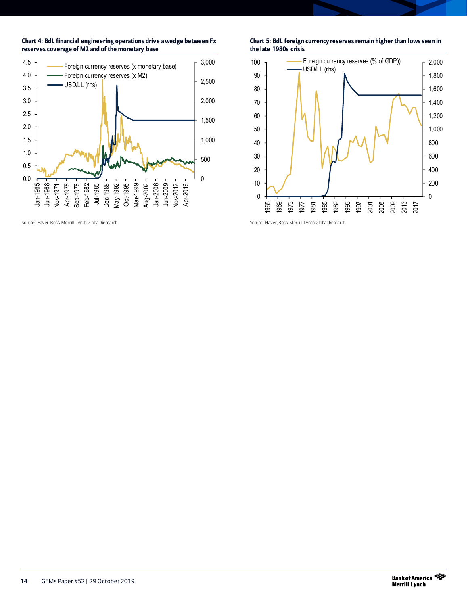

Chart 4: BdL financial engineering operations drive a wedge between Fx

#### Chart 5: BdL foreign currency reserves remain higher than lows seen in the late 1980s crisis



Source: Haver, BofA Merrill Lynch Global Research

Source: Haver, BofA Merrill Lynch Global Research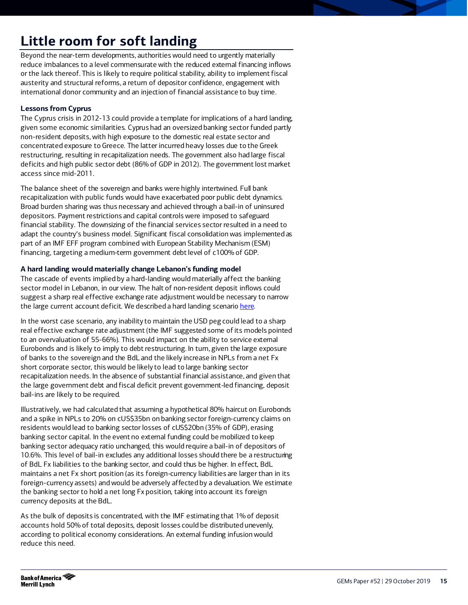# <span id="page-14-0"></span>**Little room for soft landing**

Beyond the near-term developments, authorities would need to urgently materially reduce imbalances to a level commensurate with the reduced external financing inflows or the lack thereof. This is likely to require political stability, ability to implement fiscal austerity and structural reforms, a return of depositor confidence, engagement with international donor community and an injection of financial assistance to buy time.

### **Lessons from Cyprus**

The Cyprus crisis in 2012-13 could provide a template for implications of a hard landing, given some economic similarities. Cyprus had an oversized banking sector funded partly non-resident deposits, with high exposure to the domestic real estate sector and concentrated exposure to Greece. The latter incurred heavy losses due to the Greek restructuring, resulting in recapitalization needs. The government also had large fiscal deficits and high public sector debt (86% of GDP in 2012). The government lost market access since mid-2011.

The balance sheet of the sovereign and banks were highly intertwined. Full bank recapitalization with public funds would have exacerbated poor public debt dynamics. Broad burden sharing was thus necessary and achieved through a bail-in of uninsured depositors. Payment restrictions and capital controls were imposed to safeguard financial stability. The downsizing of the financial services sector resulted in a need to adapt the country's business model. Significant fiscal consolidation was implemented as part of an IMF EFF program combined with European Stability Mechanism (ESM) financing, targeting a medium-term government debt level of c100% of GDP.

### **A hard landing would materially change Lebanon's funding model**

The cascade of events implied by a hard-landing would materially affect the banking sector model in Lebanon, in our view. The halt of non-resident deposit inflows could suggest a sharp real effective exchange rate adjustment would be necessary to narrow the large current account deficit. We described a hard landing scenari[o here.](http://rsch.baml.com/r?q=64Or1VixzjslmGSxo0xLDA__&e=jean-michel.saliba%40baml.com&h=LTP-og)

In the worst case scenario, any inability to maintain the USD peg could lead to a sharp real effective exchange rate adjustment (the IMF suggested some of its models pointed to an overvaluation of 55-66%). This would impact on the ability to service external Eurobonds and is likely to imply to debt restructuring. In turn, given the large exposure of banks to the sovereign and the BdL and the likely increase in NPLs from a net Fx short corporate sector, this would be likely to lead to large banking sector recapitalization needs. In the absence of substantial financial assistance, and given that the large government debt and fiscal deficit prevent government-led financing, deposit bail-ins are likely to be required.

Illustratively, we had calculated that assuming a hypothetical 80% haircut on Eurobonds and a spike in NPLs to 20% on cUS\$35bn on banking sector foreign-currency claims on residents would lead to banking sector losses of cUS\$20bn (35% of GDP), erasing banking sector capital. In the event no external funding could be mobilized to keep banking sector adequacy ratio unchanged, this would require a bail-in of depositors of 10.6%. This level of bail-in excludes any additional losses should there be a restructuring of BdL Fx liabilities to the banking sector, and could thus be higher. In effect, BdL maintains a net Fx short position (as its foreign-currency liabilities are larger than in its foreign-currency assets) and would be adversely affected by a devaluation. We estimate the banking sector to hold a net long Fx position, taking into account its foreign currency deposits at the BdL.

As the bulk of deposits is concentrated, with the IMF estimating that 1% of deposit accounts hold 50% of total deposits, deposit losses could be distributed unevenly, according to political economy considerations. An external funding infusion would reduce this need.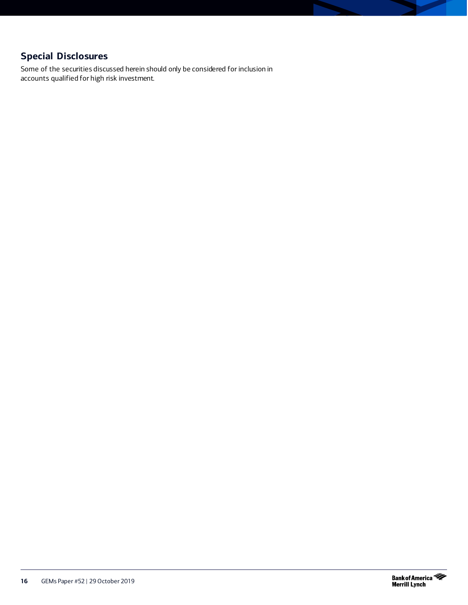## **Special Disclosures**

Some of the securities discussed herein should only be considered for inclusion in accounts qualified for high risk investment.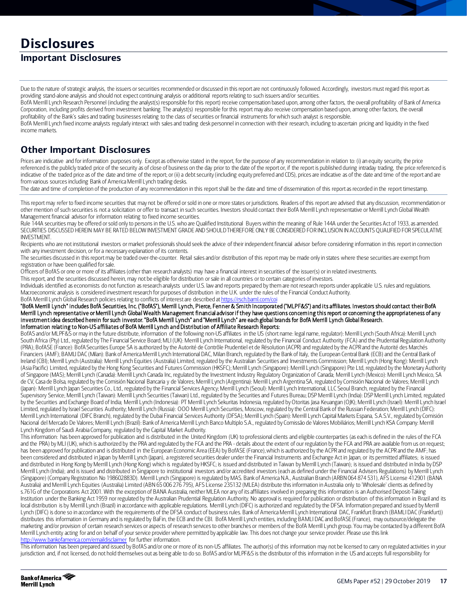# **Disclosures**

## **Important Disclosures**

Due to the nature of strategic analysis, the issuers or securities recommended or discussed in this report are not continuously followed. Accordingly, investors must regard this report as providing stand-alone analysis and should not expect continuing analysis or additional reports relating to such issuers and/or securities.

BofA Merrill Lynch Research Personnel (including the analyst(s) responsible for this report) receive compensation based upon, among other factors, the overall profitability of Bank of America Corporation, including profits derived from investment banking. The analyst(s) responsible for this report may also receive compensation based upon, among other factors, the overall profitability of the Bank's sales and trading businesses relating to the class of securities or financial instruments for which such analyst is responsible.

BofA Merrill Lynch fixed income analysts regularly interact with sales and trading desk personnel in connection with their research, including to ascertain pricing and liquidity in the fixed income markets.

## **Other Important Disclosures**

Prices are indicative and for information purposes only. Except as otherwise stated in the report, for the purpose of any recommendation in relation to: (i) an equity security, the price referenced isthe publicly traded price of the security as of close of business on the day prior to the date of the report or, if the report is published during intraday trading, the price referenced is indicative of the traded price as of the date and time of the report; or (ii) a debt security (including equity preferred and CDS), prices are indicative as of the date and time of the report and are from various sources including Bank of America Merrill Lynch trading desks.

The date and time of completion of the production of any recommendation in this report shall be the date and time of dissemination of this report as recorded in the reporttimestamp.

This report may refer to fixed income securities that may not be offered or sold in one or more states or jurisdictions. Readers of this report are advised that any discussion, recommendation or other mention of such securities is not a solicitation or offer to transact in such securities. Investors should contact their BofA Merrill Lynch representative or Merrill Lynch Global Wealth Management financial advisor for information relating to fixed income securities.

Rule 144A securities may be offered or sold only to persons in the U.S. who are Qualified Institutional Buyers within the meaning of Rule 144A under the Securities Act of 1933, as amended. SECURITIES DISCUSSED HEREIN MAY BE RATED BELOW INVESTMENT GRADE AND SHOULD THEREFORE ONLY BE CONSIDERED FOR INCLUSION IN ACCOUNTS QUALIFIED FOR SPECULATIVE INVESTMENT.

Recipients who are not institutional investors or market professionals should seek the advice of their independent financial advisor before considering information in this report in connection with any investment decision, or for a necessary explanation of its contents.

The securities discussed in this report may be traded over-the-counter. Retail sales and/or distribution of this report may be made only in states where these securities are exempt from registration or have been qualified for sale.

Officers of BofAS or one or more of its affiliates (other than research analysts) may have a financial interest in securities of the issuer(s) or in related investments.

This report, and the securities discussed herein, may not be eligible for distribution or sale in all countries or to certain categories of investors.

Individuals identified as economists do not function as research analysts under U.S. law and reports prepared by them are not research reports under applicable U.S. rules and regulations. Macroeconomic analysis is considered investment research for purposes of distribution in the U.K. under the rules of the Financial Conduct Authority.

BofA Merrill Lynch Global Research policies relating to conflicts of interest are described a[t https://rsch.baml.com/coi](https://rsch.baml.com/coi) "BofA Merrill Lynch" includes BofA Securities, Inc. ("BofAS"), Merrill Lynch, Pierce, Fenner & Smith Incorporated ("MLPF&S") and its affiliates. Investors should contact their BofA Merrill Lynch representative or Merrill Lynch Global Wealth Management financial advisor if they have questions concerning this report or concerning the appropriateness of any investment idea described herein for such investor. "BofA Merrill Lynch" and "Merrill Lynch" are each global brands for BofA Merrill Lynch Global Research. Information relating to Non-US affiliates of BofA Merrill Lynch and Distribution of Affiliate Research Reports:

BofAS and/or MLPF&S or may in the future distribute, information of the following non-US affiliates in the US (short name: legal name, regulator): Merrill Lynch (South Africa): Merrill Lynch South Africa (Pty) Ltd., regulated by The Financial Service Board; MLI (UK): Merrill Lynch International, regulated by the Financial Conduct Authority (FCA) and the Prudential Regulation Authority (PRA); BofASE (France): BofA Securities Europe SA is authorized by the Autorité de Contrôle Prudentiel et de Résolution (ACPR) and regulated by the ACPR and the Autorité des Marchés Financiers (AMF); BAMLI DAC (Milan): Bank of America Merrill Lynch International DAC, Milan Branch, regulated by the Bank of Italy, the European Central Bank (ECB) and the Central Bank of Ireland (CBI); Merrill Lynch (Australia): Merrill Lynch Equities (Australia) Limited, regulated by the Australian Securities and Investments Commission; Merrill Lynch (Hong Kong): Merrill Lynch (Asia Pacific) Limited, regulated by the Hong Kong Securities and Futures Commission (HKSFC); Merrill Lynch (Singapore): Merrill Lynch (Singapore) Pte Ltd, regulated by the Monetary Authority of Singapore (MAS); Merrill Lynch (Canada): Merrill Lynch Canada Inc, regulated by the Investment Industry Regulatory Organization of Canada; Merrill Lynch (Mexico): Merrill Lynch Mexico, SA de CV, Casa de Bolsa, regulated by the Comisión Nacional Bancaria y de Valores; Merrill Lynch (Argentina): Merrill Lynch Argentina SA, regulated by Comisión Nacional de Valores; Merrill Lynch (Japan): Merrill Lynch Japan Securities Co., Ltd., regulated by the Financial Services Agency; Merrill Lynch (Seoul): Merrill Lynch International, LLC Seoul Branch, regulated by the Financial Supervisory Service; Merrill Lynch (Taiwan): Merrill Lynch Securities (Taiwan) Ltd., regulated by the Securities and Futures Bureau; DSP Merrill Lynch (India): DSP Merrill Lynch Limited, regulated by the Securities and Exchange Board of India; Merrill Lynch (Indonesia): PT Merrill Lynch Sekuritas Indonesia, regulated by Otoritas Jasa Keuangan (OJK); Merrill Lynch (Israel): Merrill Lynch Israel Limited, regulated by Israel Securities Authority; Merrill Lynch (Russia): OOO Merrill Lynch Securities, Moscow, regulated by the Central Bank of the Russian Federation; Merrill Lynch (DIFC): Merrill Lynch International (DIFC Branch), regulated by the Dubai Financial Services Authority (DFSA); Merrill Lynch (Spain): Merrill Lynch Capital Markets Espana, S.A.S.V., regulated by Comisión Nacional del Mercado De Valores; Merrill Lynch (Brazil): Bank of America Merrill Lynch Banco Multiplo S.A., regulated by Comissão de Valores Mobiliários; Merrill Lynch KSA Company: Merrill Lynch Kingdom of Saudi Arabia Company, regulated by the Capital Market Authority.

This information: has been approved for publication and is distributed in the United Kingdom (UK) to professional clients and eligible counterparties (as each is defined in the rules of the FCA and the PRA) by MLI (UK), which is authorized by the PRA and regulated by the FCA and the PRA - details about the extent of our regulation by the FCA and PRA are available from us on request; has been approved for publication and is distributed in the European Economic Area (EEA) by BofASE (France), which is authorized by the ACPR and regulated by the ACPR and the AMF; has been considered and distributed in Japan by Merrill Lynch (Japan), a registered securities dealer under the Financial Instruments and Exchange Act in Japan, or its permitted affiliates; is issued and distributed in Hong Kong by Merrill Lynch (Hong Kong) which is regulated by HKSFC; is issued and distributed in Taiwan by Merrill Lynch (Taiwan); is issued and distributed in India by DSP Merrill Lynch (India); and is issued and distributed in Singapore to institutional investors and/or accredited investors (each as defined under the Financial Advisers Regulations) by Merrill Lynch (Singapore) (Company Registration No 198602883D). Merrill Lynch (Singapore) is regulated by MAS. Bank of America N.A., Australian Branch (ARBN 064 874 531), AFS License 412901 (BANA Australia) and Merrill Lynch Equities (Australia) Limited (ABN 65 006 276 795), AFS License 235132 (MLEA) distribute this information in Australia only to 'Wholesale' clients as defined by s.761G of the Corporations Act 2001. With the exception of BANA Australia, neither MLEA nor any of its affiliates involved in preparing this information is an Authorised Deposit-Taking Institution under the Banking Act 1959 nor regulated by the Australian Prudential Regulation Authority. No approval is required for publication or distribution of this information in Brazil and its local distribution is by Merrill Lynch (Brazil) in accordance with applicable regulations. Merrill Lynch (DIFC) is authorized and regulated by the DFSA. Information prepared and issued by Merrill Lynch (DIFC) is done so in accordance with the requirements of the DFSA conduct of business rules. Bank of America Merrill Lynch International DAC, Frankfurt Branch (BAMLI DAC (Frankfurt)) distributes this information in Germany and is regulated by BaFin, the ECB and the CBI. BofA Merrill Lynch entities, including BAMLI DAC and BofASE (France), may outsource/delegate the marketing and/or provision of certain research services or aspects of research services to other branches or members of the BofA Merrill Lynch group. You may be contacted by a different BofA Merrill Lynch entity acting for and on behalf of your service provider where permitted by applicable law. This does not change your service provider. Please use this link ca.com/emaildisclaimer for further information.

This information has been prepared and issued by BofAS and/or one or more of its non-US affiliates. The author(s) of this information may not be licensed to carry on regulated activities in your jurisdiction and, if not licensed, do not hold themselves out as being able to do so. BofAS and/or MLPF&S is the distributor of this information in the US and accepts full responsibility for

**Bank of America Merrill Lynch**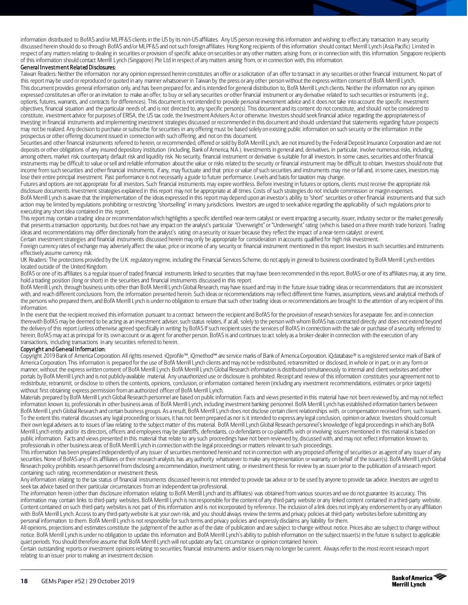information distributed to BofAS and/or MLPF&S clients in the US by its non-US affiliates. Any US person receiving this information and wishing to effect any transaction in any security discussed herein should do so through BofAS and/or MLPF&S and not such foreign affiliates. Hong Kong recipients of this information should contact Merrill Lynch (Asia Pacific) Limited in respect of any matters relating to dealing in securities or provision of specific advice on securities or any other matters arising from, or in connection with, this information. Singapore recipients of this information should contact Merrill Lynch (Singapore) Pte Ltd in respect of any matters arising from, or in connection with, this information.

#### General Investment Related Disclosures:

Taiwan Readers: Neither the information nor any opinion expressed herein constitutes an offer or a solicitation of an offer to transact in any securities or other financial instrument. No part of this report may be used or reproduced or quoted in any manner whatsoever in Taiwan by the press or any other person without the express written consent of BofA Merrill Lynch. This document provides general information only, and has been prepared for, and is intended for general distribution to, BofA Merrill Lynch clients. Neither the information nor any opinion expressed constitutes an offer or an invitation to make an offer, to buy or sell any securities or other financial instrument or any derivative related to such securities or instruments (e.g., options, futures, warrants, and contracts for differences). This document is not intended to provide personal investment advice and it does not take into account the specific investment objectives, financial situation and the particular needs of, and is not directed to, any specific person(s). This document and its content do not constitute, and should not be considered to constitute, investment advice for purposes of ERISA, the US tax code, the Investment Advisers Act or otherwise. Investors should seek financial advice regarding the appropriateness of investing in financial instruments and implementing investment strategies discussed or recommended in this document and should understand that statements regarding future prospects may not be realized. Any decision to purchase or subscribe for securities in any offering must be based solely on existing public information on such security or the information in the prospectus or other offering document issued in connection with such offering, and not on this document.

Securities and other financial instruments referred to herein, or recommended, offered or sold by BofA Merrill Lynch, are not insured by the Federal Deposit Insurance Corporation and are not deposits or other obligations of any insured depository institution (including, Bank of America, N.A.). Investments in general and, derivatives, in particular, involve numerous risks, including, among others, market risk, counterparty default risk and liquidity risk. No security, financial instrument or derivative is suitable for all investors. In some cases, securities and other financial instruments may be difficult to value or sell and reliable information about the value or risks related to the security or financial instrument may be difficult to obtain. Investors should note that income from such securities and other financial instruments, if any, may fluctuate and that price or value of such securities and instruments may rise or fall and, in some cases, investors may lose their entire principal investment. Past performance is not necessarily a guide to future performance. Levels and basis for taxation may change.

Futures and options are not appropriate for all investors. Such financial instruments may expire worthless. Before investing in futures or options, clients must receive the appropriate risk disclosure documents. Investment strategies explained in this report may not be appropriate at all times. Costs of such strategies do not include commission or margin expenses. BofA Merrill Lynch is aware that the implementation of the ideas expressed in this report may depend upon an investor's ability to 'short' securities or other financial instruments and that such action may be limited by regulations prohibiting or restricting "shortselling" in many jurisdictions. Investors are urged to seek advice regarding the applicability of such regulations prior to executing any short idea contained in this report.

This report may contain a trading idea or recommendation which highlights a specific identified near-term catalyst or event impacting a security, issuer, industry sector or the market generally that presents a transaction opportunity, but does not have any impact on the analyst's particular "Overweight" or "Underweight" rating (which is based on a three month trade horizon). Trading ideas and recommendations may differ directionally from the analyst's rating on a security or issuer because they reflect the impact of a near-term catalyst or event. Certain investment strategies and financial instruments discussed herein may only be appropriate for consideration in accounts qualified for high risk investment.

Foreign currency rates of exchange may adversely affect the value, price or income of any security or financial instrument mentioned in this report. Investors in such securities and instruments effectively assume currency risk.

UK Readers: The protections provided by the U.K. regulatory regime, including the Financial Services Scheme, do not apply in general to business coordinated by BofA Merrill Lynch entities located outside of the United Kingdom.

BofAS or one of its affiliates is a regular issuer of traded financial instruments linked to securities that may have been recommended in this report. BofAS or one of its affiliates may, at any time, hold a trading position (long or short) in the securities and financial instruments discussed in this report.

BofA Merrill Lynch, through business units other than BofA Merrill Lynch Global Research, may have issued and may in the future issue trading ideas or recommendations that are inconsistent with, and reach different conclusions from, the information presented herein. Such ideas or recommendations may reflect different time frames, assumptions, views and analytical methods of the persons who prepared them, and BofA Merrill Lynch is under no obligation to ensure that such other trading ideas or recommendations are brought to the attention of any recipient of this information.

In the event that the recipient received this information pursuant to a contract between the recipient and BofAS for the provision of research services for a separate fee, and in connection therewith BofAS may be deemed to be acting as an investment adviser, such status relates, if at all, solely to the person with whom BofAS has contracted directly and does not extend beyond the delivery of this report (unless otherwise agreed specifically in writing by BofAS If such recipient uses the services of BofAS in connection with the sale or purchase of a security referred to herein, BofAS may act as principal for its own account or as agent for another person. BofAS is and continues to act solely as a broker-dealer in connection with the execution of any transactions, including transactions in any securities referred to herein.

#### Copyright and General Information:

Copyright 2019 Bank of America Corporation. All rights reserved. iQprofile℠, iQmethod℠ are service marks of Bank of America Corporation. iQdatabase® is a registered service mark of Bank of America Corporation. This information is prepared for the use of BofA Merrill Lynch clients and may not be redistributed, retransmitted or disclosed, in whole or in part, or in any form or manner, without the express written consent of BofA Merrill Lynch. BofA Merrill Lynch Global Research information is distributed simultaneously to internal and client websites and other portals by BofA Merrill Lynch and is not publicly-available material. Any unauthorized use or disclosure is prohibited. Receipt and review of this information constitutes your agreement not to redistribute, retransmit, or disclose to others the contents, opinions, conclusion, or information contained herein (including any investment recommendations, estimates or price targets) without first obtaining express permission from an authorized officer of BofA Merrill Lynch.

Materials prepared by BofA Merrill Lynch Global Research personnel are based on public information. Facts and views presented in this material have not been reviewed by, and may not reflect information known to, professionals in other business areas of BofA Merrill Lynch, including investment banking personnel. BofA Merrill Lynch has established information barriers between BofA Merrill Lynch Global Research and certain business groups. As a result, BofA Merrill Lynch does not disclose certain client relationships with, or compensation received from, such issuers. To the extent this material discusses any legal proceeding or issues, it has not been prepared as nor is it intended to express any legal conclusion, opinion or advice. Investors should consult their own legal advisers as to issues of law relating to the subject matter of this material. BofA Merrill Lynch Global Research personnel's knowledge of legal proceedings in which any BofA Merrill Lynch entity and/or its directors, officers and employees may be plaintiffs, defendants, co-defendants or co-plaintiffs with or involving issuers mentioned in this material is based on public information. Facts and views presented in this material that relate to any such proceedings have not been reviewed by, discussed with, and may not reflect information known to, professionals in other business areas of BofA Merrill Lynch in connection with the legal proceedings or matters relevant to such proceedings.

This information has been prepared independently of any issuer of securities mentioned herein and not in connection with any proposed offering of securities or as agent of any issuer of any securities. None of BofAS any of its affiliates or their research analysts has any authority whatsoever to make any representation or warranty on behalf of the issuer(s). BofA Merrill Lynch Global Research policy prohibits research personnel from disclosing a recommendation, investment rating, or investment thesis for review by an issuer prior to the publication of a research report containing such rating, recommendation or investment thesis.

Any information relating to the tax status of financial instruments discussed herein is not intended to provide tax advice or to be used by anyone to provide tax advice. Investors are urged to seek tax advice based on their particular circumstances from an independent tax professional.

The information herein (other than disclosure information relating to BofA Merrill Lynch and its affiliates) was obtained from various sources and we do not guarantee its accuracy. This information may contain links to third-party websites. BofA Merrill Lynch is not responsible for the content of any third-party website or any linked content contained in a third-party website. Content contained on such third-party websites is not part of this information and is not incorporated by reference. The inclusion of a link does not imply any endorsement by or any affiliation with BofA Merrill Lynch. Access to any third-party website is at your own risk, and you should always review the terms and privacy policies at third-party websites before submitting any personal information to them. BofA Merrill Lynch is not responsible for such terms and privacy policies and expressly disclaims any liability for them.

All opinions, projections and estimates constitute the judgment of the author as of the date of publication and are subject to change without notice. Prices also are subject to change without notice. BofA Merrill Lynch is under no obligation to update this information and BofA Merrill Lynch's ability to publish information on the subject issuer(s) in the future is subject to applicable quiet periods. You should therefore assume that BofA Merrill Lynch will not update any fact, circumstance or opinion contained herein.

Certain outstanding reports or investment opinions relating to securities, financial instruments and/or issuers may no longer be current. Always refer to the most recent research report relating to an issuer prior to making an investment decision.